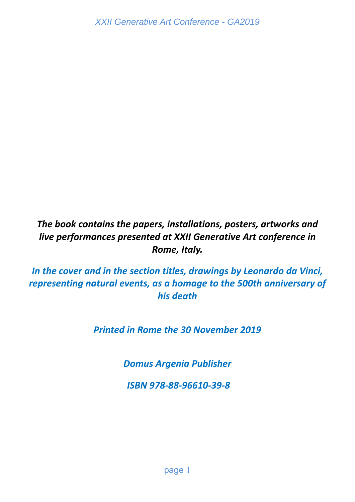# *The book contains the papers, installations, posters, artworks and live performances presented at XXII Generative Art conference in Rome, Italy.*

*In the cover and in the section titles, drawings by Leonardo da Vinci, representing natural events, as a homage to the 500th anniversary of his death* 

*Printed in Rome the 30 November 2019* 

*Domus Argenia Publisher* 

 *ISBN 978‐88‐96610‐39‐8*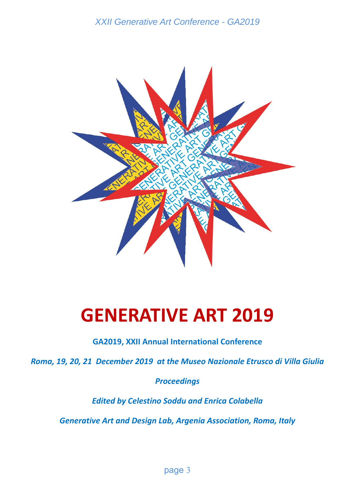

# **GENERATIVE ART 2019**

**GA2019, XXII Annual International Conference** 

*Roma, 19, 20, 21 December 2019 at the Museo Nazionale Etrusco di Villa Giulia* 

*Proceedings* 

*Edited by Celestino Soddu and Enrica Colabella* 

*Generative Art and Design Lab, Argenia Association, Roma, Italy*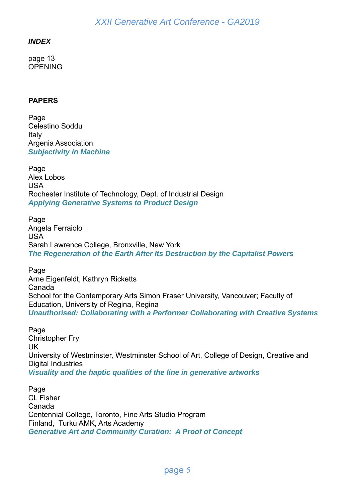#### *INDEX*

page 13 **OPENING** 

#### **PAPERS**

Page Celestino Soddu Italy Argenia Association *Subjectivity in Machine* 

Page Alex Lobos USA Rochester Institute of Technology, Dept. of Industrial Design *Applying Generative Systems to Product Design*

Page Angela Ferraiolo USA Sarah Lawrence College, Bronxville, New York *The Regeneration of the Earth After Its Destruction by the Capitalist Powers* 

Page Arne Eigenfeldt, Kathryn Ricketts Canada School for the Contemporary Arts Simon Fraser University, Vancouver; Faculty of Education, University of Regina, Regina *Unauthorised: Collaborating with a Performer Collaborating with Creative Systems* 

Page Christopher Fry UK University of Westminster, Westminster School of Art, College of Design, Creative and Digital Industries *Visuality and the haptic qualities of the line in generative artworks* 

Page CL Fisher Canada Centennial College, Toronto, Fine Arts Studio Program Finland, Turku AMK, Arts Academy *Generative Art and Community Curation: A Proof of Concept*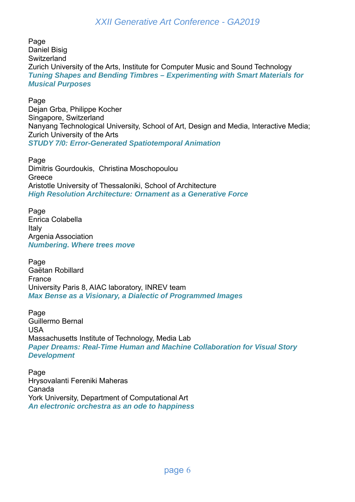Page Daniel Bisig **Switzerland** Zurich University of the Arts, Institute for Computer Music and Sound Technology *Tuning Shapes and Bending Timbres – Experimenting with Smart Materials for Musical Purposes* 

Page Dejan Grba, Philippe Kocher Singapore, Switzerland Nanyang Technological University, School of Art, Design and Media, Interactive Media; Zurich University of the Arts *STUDY 7/0: Error-Generated Spatiotemporal Animation* 

Page Dimitris Gourdoukis, Christina Moschopoulou **Greece** Aristotle University of Thessaloniki, School of Architecture *High Resolution Architecture: Ornament as a Generative Force* 

Page Enrica Colabella Italy Argenia Association *Numbering. Where trees move* 

Page Gaëtan Robillard France University Paris 8, AIAC laboratory, INREV team *Max Bense as a Visionary, a Dialectic of Programmed Images* 

Page Guillermo Bernal USA Massachusetts Institute of Technology, Media Lab *Paper Dreams: Real-Time Human and Machine Collaboration for Visual Story Development* 

Page Hrysovalanti Fereniki Maheras Canada York University, Department of Computational Art *An electronic orchestra as an ode to happiness*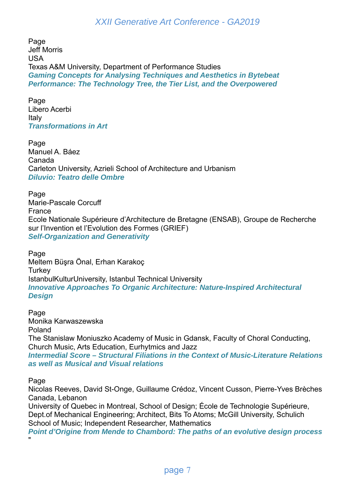Page Jeff Morris USA Texas A&M University, Department of Performance Studies *Gaming Concepts for Analysing Techniques and Aesthetics in Bytebeat Performance: The Technology Tree, the Tier List, and the Overpowered* 

Page Libero Acerbi Italy *Transformations in Art* 

Page Manuel A. Báez Canada Carleton University, Azrieli School of Architecture and Urbanism *Diluvio: Teatro delle Ombre* 

Page Marie-Pascale Corcuff France Ecole Nationale Supérieure d'Architecture de Bretagne (ENSAB), Groupe de Recherche sur l'Invention et l'Evolution des Formes (GRIEF) *Self-Organization and Generativity*

Page Meltem Büşra Önal, Erhan Karakoç **Turkey** IstanbulKulturUniversity, Istanbul Technical University *Innovative Approaches To Organic Architecture: Nature-Inspired Architectural Design* 

Page Monika Karwaszewska Poland

The Stanislaw Moniuszko Academy of Music in Gdansk, Faculty of Choral Conducting, Church Music, Arts Education, Eurhytmics and Jazz

*Intermedial Score – Structural Filiations in the Context of Music-Literature Relations as well as Musical and Visual relations* 

Page

Nicolas Reeves, David St-Onge, Guillaume Crédoz, Vincent Cusson, Pierre-Yves Brèches Canada, Lebanon

University of Quebec in Montreal, School of Design; École de Technologie Supérieure, Dept.of Mechanical Engineering; Architect, Bits To Atoms; McGill University, Schulich School of Music; Independent Researcher, Mathematics

*Point d'Origine from Mende to Chambord: The paths of an evolutive design process*  "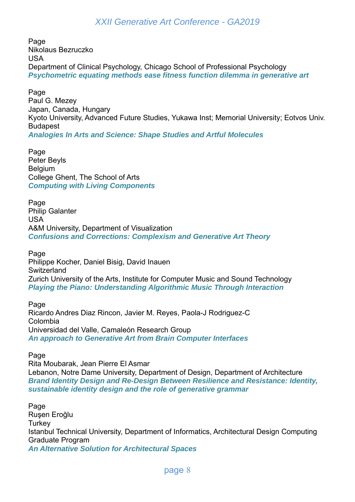Page Nikolaus Bezruczko USA Department of Clinical Psychology, Chicago School of Professional Psychology *Psychometric equating methods ease fitness function dilemma in generative art* 

Page Paul G. Mezey Japan, Canada, Hungary Kyoto University, Advanced Future Studies, Yukawa Inst; Memorial University; Eotvos Univ. Budapest *Analogies In Arts and Science: Shape Studies and Artful Molecules* 

Page Peter Beyls **Belgium** College Ghent, The School of Arts *Computing with Living Components* 

Page Philip Galanter USA A&M University, Department of Visualization *Confusions and Corrections: Complexism and Generative Art Theory* 

Page Philippe Kocher, Daniel Bisig, David Inauen **Switzerland** Zurich University of the Arts, Institute for Computer Music and Sound Technology *Playing the Piano: Understanding Algorithmic Music Through Interaction* 

Page Ricardo Andres Diaz Rincon, Javier M. Reyes, Paola-J Rodriguez-C Colombia Universidad del Valle, Camaleón Research Group *An approach to Generative Art from Brain Computer Interfaces* 

Page

Rita Moubarak, Jean Pierre El Asmar Lebanon, Notre Dame University, Department of Design, Department of Architecture *Brand Identity Design and Re-Design Between Resilience and Resistance: Identity, sustainable identity design and the role of generative grammar* 

Page Ruşen Eroğlu **Turkey** Istanbul Technical University, Department of Informatics, Architectural Design Computing Graduate Program *An Alternative Solution for Architectural Spaces*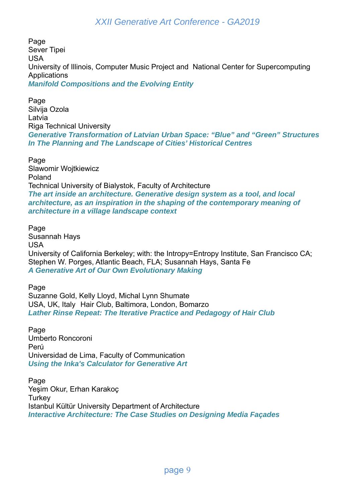Page Sever Tipei USA University of Illinois, Computer Music Project and National Center for Supercomputing **Applications** *Manifold Compositions and the Evolving Entity* 

Page Silvija Ozola Latvia Riga Technical University *Generative Transformation of Latvian Urban Space: "Blue" and "Green" Structures In The Planning and The Landscape of Cities' Historical Centres* 

Page Slawomir Wojtkiewicz Poland Technical University of Bialystok, Faculty of Architecture *The art inside an architecture. Generative design system as a tool, and local architecture, as an inspiration in the shaping of the contemporary meaning of architecture in a village landscape context* 

Page Susannah Hays USA University of California Berkeley; with: the Intropy=Entropy Institute, San Francisco CA; Stephen W. Porges, Atlantic Beach, FLA; Susannah Hays, Santa Fe *A Generative Art of Our Own Evolutionary Making* 

Page Suzanne Gold, Kelly Lloyd, Michal Lynn Shumate USA, UK, Italy Hair Club, Baltimora, London, Bomarzo *Lather Rinse Repeat: The Iterative Practice and Pedagogy of Hair Club* 

Page Umberto Roncoroni Perú Universidad de Lima, Faculty of Communication *Using the Inka's Calculator for Generative Art* 

Page Yeşim Okur, Erhan Karakoç **Turkey** Istanbul Kültür University Department of Architecture *Interactive Architecture: The Case Studies on Designing Media Façades*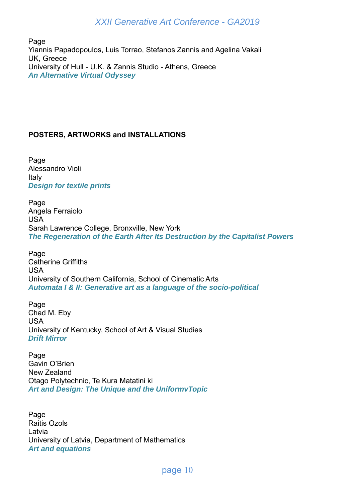Page Yiannis Papadopoulos, Luis Torrao, Stefanos Zannis and Agelina Vakali UK, Greece University of Hull - U.K. & Zannis Studio - Athens, Greece *An Alternative Virtual Odyssey* 

#### **POSTERS, ARTWORKS and INSTALLATIONS**

Page Alessandro Violi Italy *Design for textile prints* 

Page Angela Ferraiolo USA Sarah Lawrence College, Bronxville, New York *The Regeneration of the Earth After Its Destruction by the Capitalist Powers* 

Page Catherine Griffiths USA University of Southern California, School of Cinematic Arts *Automata I & II: Generative art as a language of the socio-political* 

Page Chad M. Eby USA University of Kentucky, School of Art & Visual Studies *Drift Mirror* 

Page Gavin O'Brien New Zealand Otago Polytechnic, Te Kura Matatini ki *Art and Design: The Unique and the UniformvTopic* 

Page Raitis Ozols Latvia University of Latvia, Department of Mathematics *Art and equations*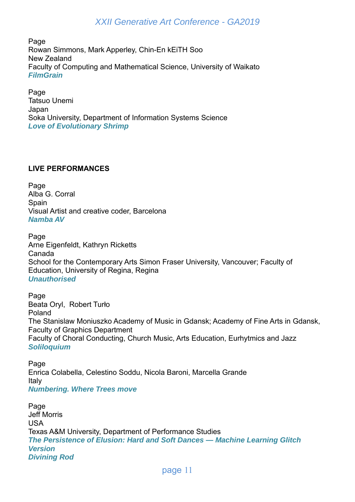Page Rowan Simmons, Mark Apperley, Chin-En kEiTH Soo New Zealand Faculty of Computing and Mathematical Science, University of Waikato *FilmGrain* 

Page Tatsuo Unemi Japan Soka University, Department of Information Systems Science *Love of Evolutionary Shrimp* 

#### **LIVE PERFORMANCES**

Page Alba G. Corral **Spain** Visual Artist and creative coder, Barcelona *Namba AV* 

Page Arne Eigenfeldt, Kathryn Ricketts Canada School for the Contemporary Arts Simon Fraser University, Vancouver; Faculty of Education, University of Regina, Regina *Unauthorised* 

Page Beata Oryl, Robert Turło Poland The Stanislaw Moniuszko Academy of Music in Gdansk; Academy of Fine Arts in Gdansk, Faculty of Graphics Department Faculty of Choral Conducting, Church Music, Arts Education, Eurhytmics and Jazz *Soliloquium* 

Page Enrica Colabella, Celestino Soddu, Nicola Baroni, Marcella Grande Italy *Numbering. Where Trees move* 

Page Jeff Morris USA Texas A&M University, Department of Performance Studies *The Persistence of Elusion: Hard and Soft Dances — Machine Learning Glitch Version Divining Rod*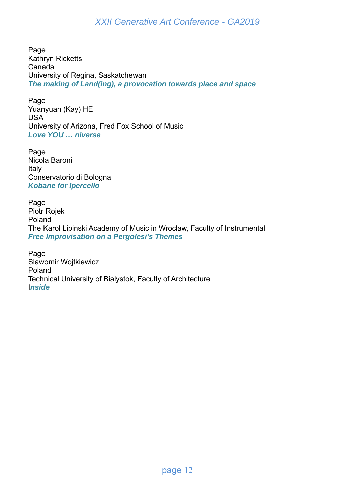Page Kathryn Ricketts Canada University of Regina, Saskatchewan *The making of Land(ing), a provocation towards place and space* 

Page Yuanyuan (Kay) HE USA University of Arizona, Fred Fox School of Music *Love YOU … niverse* 

Page Nicola Baroni Italy Conservatorio di Bologna *Kobane for Ipercello* 

Page Piotr Rojek Poland The Karol Lipinski Academy of Music in Wroclaw, Faculty of Instrumental *Free Improvisation on a Pergolesi's Themes* 

Page Slawomir Wojtkiewicz Poland Technical University of Bialystok, Faculty of Architecture I*nside*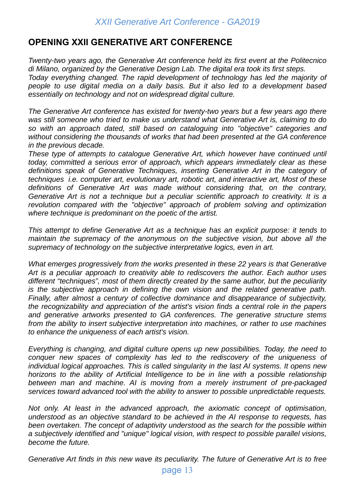# **OPENING XXII GENERATIVE ART CONFERENCE**

*Twenty-two years ago, the Generative Art conference held its first event at the Politecnico di Milano, organized by the Generative Design Lab. The digital era took its first steps. Today everything changed. The rapid development of technology has led the majority of people to use digital media on a daily basis. But it also led to a development based essentially on technology and not on widespread digital culture.* 

*The Generative Art conference has existed for twenty-two years but a few years ago there was still someone who tried to make us understand what Generative Art is, claiming to do so with an approach dated, still based on cataloguing into "objective" categories and without considering the thousands of works that had been presented at the GA conference in the previous decade.* 

*These type of attempts to catalogue Generative Art, which however have continued until today, committed a serious error of approach, which appears immediately clear as these definitions speak of Generative Techniques, inserting Generative Art in the category of techniques i.e. computer art, evolutionary art, robotic art, and interactive art, Most of these definitions of Generative Art was made without considering that, on the contrary, Generative Art is not a technique but a peculiar scientific approach to creativity. It is a revolution compared with the "objective" approach of problem solving and optimization where technique is predominant on the poetic of the artist.* 

*This attempt to define Generative Art as a technique has an explicit purpose: it tends to maintain the supremacy of the anonymous on the subjective vision, but above all the supremacy of technology on the subjective interpretative logics, even in art.* 

*What emerges progressively from the works presented in these 22 years is that Generative Art is a peculiar approach to creativity able to rediscovers the author. Each author uses different "techniques", most of them directly created by the same author, but the peculiarity is the subjective approach in defining the own vision and the related generative path. Finally, after almost a century of collective dominance and disappearance of subjectivity, the recognizability and appreciation of the artist's vision finds a central role in the papers and generative artworks presented to GA conferences. The generative structure stems from the ability to insert subjective interpretation into machines, or rather to use machines to enhance the uniqueness of each artist's vision.* 

*Everything is changing, and digital culture opens up new possibilities. Today, the need to conquer new spaces of complexity has led to the rediscovery of the uniqueness of individual logical approaches. This is called singularity in the last AI systems. It opens new horizons to the ability of Artificial Intelligence to be in line with a possible relationship between man and machine. AI is moving from a merely instrument of pre-packaged services toward advanced tool with the ability to answer to possible unpredictable requests.* 

*Not only. At least in the advanced approach, the axiomatic concept of optimisation, understood as an objective standard to be achieved in the AI response to requests, has been overtaken. The concept of adaptivity understood as the search for the possible within a subjectively identified and "unique" logical vision, with respect to possible parallel visions, become the future.* 

*Generative Art finds in this new wave its peculiarity. The future of Generative Art is to free*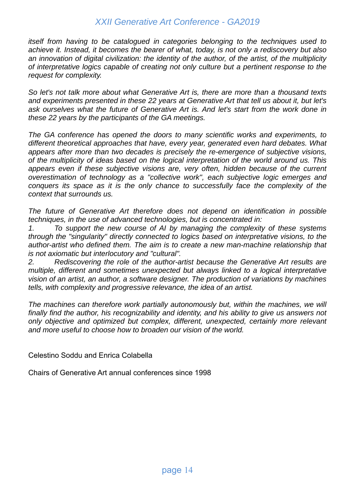*itself from having to be catalogued in categories belonging to the techniques used to achieve it. Instead, it becomes the bearer of what, today, is not only a rediscovery but also an innovation of digital civilization: the identity of the author, of the artist, of the multiplicity of interpretative logics capable of creating not only culture but a pertinent response to the request for complexity.* 

*So let's not talk more about what Generative Art is, there are more than a thousand texts and experiments presented in these 22 years at Generative Art that tell us about it, but let's ask ourselves what the future of Generative Art is. And let's start from the work done in these 22 years by the participants of the GA meetings.* 

*The GA conference has opened the doors to many scientific works and experiments, to different theoretical approaches that have, every year, generated even hard debates. What appears after more than two decades is precisely the re-emergence of subjective visions, of the multiplicity of ideas based on the logical interpretation of the world around us. This appears even if these subjective visions are, very often, hidden because of the current overestimation of technology as a "collective work", each subjective logic emerges and conquers its space as it is the only chance to successfully face the complexity of the context that surrounds us.* 

*The future of Generative Art therefore does not depend on identification in possible techniques, in the use of advanced technologies, but is concentrated in:* 

*1. To support the new course of AI by managing the complexity of these systems through the "singularity" directly connected to logics based on interpretative visions, to the author-artist who defined them. The aim is to create a new man-machine relationship that is not axiomatic but interlocutory and "cultural".* 

*2. Rediscovering the role of the author-artist because the Generative Art results are multiple, different and sometimes unexpected but always linked to a logical interpretative vision of an artist, an author, a software designer. The production of variations by machines tells, with complexity and progressive relevance, the idea of an artist.* 

*The machines can therefore work partially autonomously but, within the machines, we will finally find the author, his recognizability and identity, and his ability to give us answers not only objective and optimized but complex, different, unexpected, certainly more relevant and more useful to choose how to broaden our vision of the world.* 

Celestino Soddu and Enrica Colabella

Chairs of Generative Art annual conferences since 1998